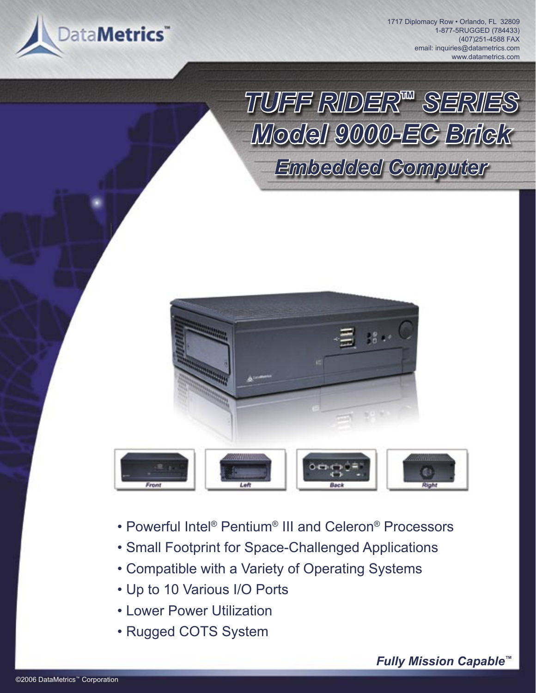

1717 Diplomacy Row · Orlando, FL 32809 1-877-5RUGGED (784433) (407)251-4588 FAX email: inquiries@datametrics.com www.datametrics.com

*TUFF RIDER™ SERIES Model 9000-EC Brick Embedded Computer*



- Powerful Intel® Pentium® III and Celeron® Processors
- Small Footprint for Space-Challenged Applications
- Compatible with a Variety of Operating Systems
- Up to 10 Various I/O Ports
- Lower Power Utilization
- Rugged COTS System

*Fully Mission Capable™*